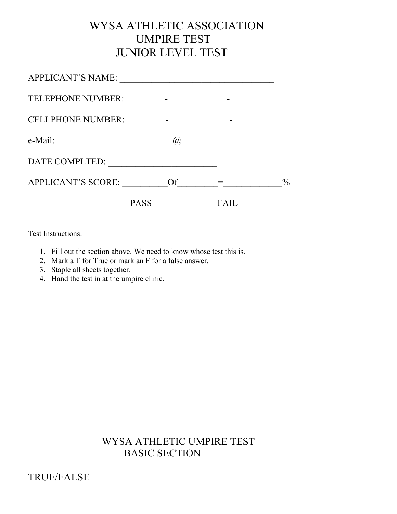# WYSA ATHLETIC ASSOCIATION UMPIRE TEST JUNIOR LEVEL TEST

| <b>PASS</b>               |     | FА |               |
|---------------------------|-----|----|---------------|
| <b>APPLICANT'S SCORE:</b> | Of  |    | $\frac{0}{0}$ |
| DATE COMPLTED:            |     |    |               |
| e-Mail:                   | (a) |    |               |
| <b>CELLPHONE NUMBER:</b>  |     |    |               |
|                           |     |    |               |
| <b>APPLICANT'S NAME:</b>  |     |    |               |

Test Instructions:

- 1. Fill out the section above. We need to know whose test this is.
- 2. Mark a T for True or mark an F for a false answer.
- 3. Staple all sheets together.
- 4. Hand the test in at the umpire clinic.

## WYSA ATHLETIC UMPIRE TEST BASIC SECTION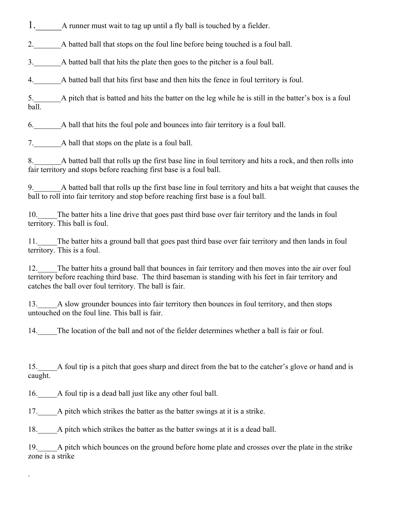1. A runner must wait to tag up until a fly ball is touched by a fielder.

2. A batted ball that stops on the foul line before being touched is a foul ball.

3.\_\_\_\_\_\_\_A batted ball that hits the plate then goes to the pitcher is a foul ball.

4.\_\_\_\_\_\_\_A batted ball that hits first base and then hits the fence in foul territory is foul.

5.\_\_\_\_\_\_\_A pitch that is batted and hits the batter on the leg while he is still in the batter's box is a foul ball.

6.\_\_\_\_\_\_\_A ball that hits the foul pole and bounces into fair territory is a foul ball.

7. A ball that stops on the plate is a foul ball.

8. A batted ball that rolls up the first base line in foul territory and hits a rock, and then rolls into fair territory and stops before reaching first base is a foul ball.

9.\_\_\_\_\_\_\_A batted ball that rolls up the first base line in foul territory and hits a bat weight that causes the ball to roll into fair territory and stop before reaching first base is a foul ball.

10. The batter hits a line drive that goes past third base over fair territory and the lands in foul territory. This ball is foul.

11. The batter hits a ground ball that goes past third base over fair territory and then lands in foul territory. This is a foul.

12. The batter hits a ground ball that bounces in fair territory and then moves into the air over foul territory before reaching third base. The third baseman is standing with his feet in fair territory and catches the ball over foul territory. The ball is fair.

13. A slow grounder bounces into fair territory then bounces in foul territory, and then stops untouched on the foul line. This ball is fair.

14. The location of the ball and not of the fielder determines whether a ball is fair or foul.

15.\_\_\_\_\_A foul tip is a pitch that goes sharp and direct from the bat to the catcher's glove or hand and is caught.

16.\_\_\_\_\_A foul tip is a dead ball just like any other foul ball.

.

17. A pitch which strikes the batter as the batter swings at it is a strike.

18. A pitch which strikes the batter as the batter swings at it is a dead ball.

19.\_\_\_\_\_A pitch which bounces on the ground before home plate and crosses over the plate in the strike zone is a strike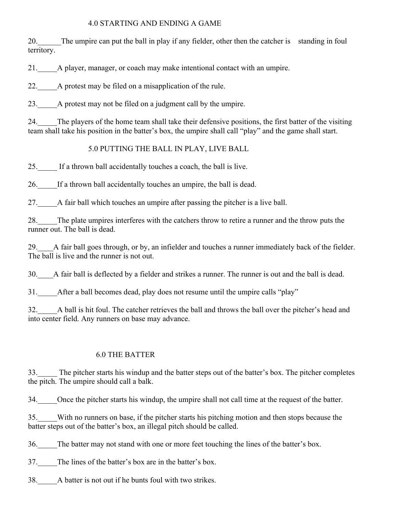#### 4.0 STARTING AND ENDING A GAME

20.\_\_\_\_\_\_The umpire can put the ball in play if any fielder, other then the catcher is standing in foul territory.

21.\_\_\_\_\_A player, manager, or coach may make intentional contact with an umpire.

22. A protest may be filed on a misapplication of the rule.

23.\_\_\_\_\_A protest may not be filed on a judgment call by the umpire.

24. The players of the home team shall take their defensive positions, the first batter of the visiting team shall take his position in the batter's box, the umpire shall call "play" and the game shall start.

## 5.0 PUTTING THE BALL IN PLAY, LIVE BALL

25.\_\_\_\_\_ If a thrown ball accidentally touches a coach, the ball is live.

26.\_\_\_\_\_If a thrown ball accidentally touches an umpire, the ball is dead.

27.\_\_\_\_\_A fair ball which touches an umpire after passing the pitcher is a live ball.

28.\_\_\_\_\_The plate umpires interferes with the catchers throw to retire a runner and the throw puts the runner out. The ball is dead.

29. A fair ball goes through, or by, an infielder and touches a runner immediately back of the fielder. The ball is live and the runner is not out.

30.\_\_\_\_A fair ball is deflected by a fielder and strikes a runner. The runner is out and the ball is dead.

31. After a ball becomes dead, play does not resume until the umpire calls "play"

32.\_\_\_\_\_A ball is hit foul. The catcher retrieves the ball and throws the ball over the pitcher's head and into center field. Any runners on base may advance.

## 6.0 THE BATTER

33.\_\_\_\_\_ The pitcher starts his windup and the batter steps out of the batter's box. The pitcher completes the pitch. The umpire should call a balk.

34.\_\_\_\_\_Once the pitcher starts his windup, the umpire shall not call time at the request of the batter.

35.\_\_\_\_\_With no runners on base, if the pitcher starts his pitching motion and then stops because the batter steps out of the batter's box, an illegal pitch should be called.

36. The batter may not stand with one or more feet touching the lines of the batter's box.

37. The lines of the batter's box are in the batter's box.

38. A batter is not out if he bunts foul with two strikes.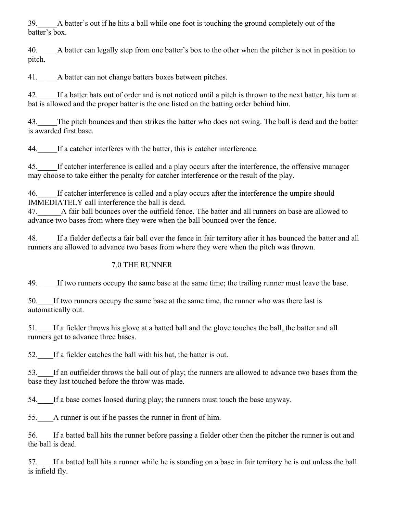39.\_\_\_\_\_A batter's out if he hits a ball while one foot is touching the ground completely out of the batter's box.

40. A batter can legally step from one batter's box to the other when the pitcher is not in position to pitch.

41. A batter can not change batters boxes between pitches.

42.\_\_\_\_\_If a batter bats out of order and is not noticed until a pitch is thrown to the next batter, his turn at bat is allowed and the proper batter is the one listed on the batting order behind him.

43. The pitch bounces and then strikes the batter who does not swing. The ball is dead and the batter is awarded first base.

44.\_\_\_\_\_If a catcher interferes with the batter, this is catcher interference.

45.\_\_\_\_\_If catcher interference is called and a play occurs after the interference, the offensive manager may choose to take either the penalty for catcher interference or the result of the play.

46.\_\_\_\_\_If catcher interference is called and a play occurs after the interference the umpire should IMMEDIATELY call interference the ball is dead.

47.\_\_\_\_\_\_A fair ball bounces over the outfield fence. The batter and all runners on base are allowed to advance two bases from where they were when the ball bounced over the fence.

48. If a fielder deflects a fair ball over the fence in fair territory after it has bounced the batter and all runners are allowed to advance two bases from where they were when the pitch was thrown.

#### 7.0 THE RUNNER

49.\_\_\_\_\_If two runners occupy the same base at the same time; the trailing runner must leave the base.

50. If two runners occupy the same base at the same time, the runner who was there last is automatically out.

51. If a fielder throws his glove at a batted ball and the glove touches the ball, the batter and all runners get to advance three bases.

52. If a fielder catches the ball with his hat, the batter is out.

53.\_\_\_\_If an outfielder throws the ball out of play; the runners are allowed to advance two bases from the base they last touched before the throw was made.

54. If a base comes loosed during play; the runners must touch the base anyway.

55. A runner is out if he passes the runner in front of him.

56.\_\_\_\_If a batted ball hits the runner before passing a fielder other then the pitcher the runner is out and the ball is dead.

57. If a batted ball hits a runner while he is standing on a base in fair territory he is out unless the ball is infield fly.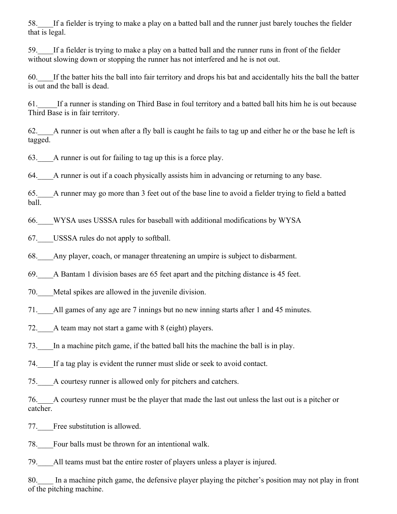58.\_\_\_\_If a fielder is trying to make a play on a batted ball and the runner just barely touches the fielder that is legal.

59. If a fielder is trying to make a play on a batted ball and the runner runs in front of the fielder without slowing down or stopping the runner has not interfered and he is not out.

60.\_\_\_\_If the batter hits the ball into fair territory and drops his bat and accidentally hits the ball the batter is out and the ball is dead.

61.\_\_\_\_\_If a runner is standing on Third Base in foul territory and a batted ball hits him he is out because Third Base is in fair territory.

62.\_\_\_\_A runner is out when after a fly ball is caught he fails to tag up and either he or the base he left is tagged.

63.\_\_\_\_A runner is out for failing to tag up this is a force play.

64.\_\_\_\_A runner is out if a coach physically assists him in advancing or returning to any base.

65.\_\_\_\_A runner may go more than 3 feet out of the base line to avoid a fielder trying to field a batted ball.

66.\_\_\_\_WYSA uses USSSA rules for baseball with additional modifications by WYSA

67.\_\_\_\_USSSA rules do not apply to softball.

68.\_\_\_\_Any player, coach, or manager threatening an umpire is subject to disbarment.

69.\_\_\_\_A Bantam 1 division bases are 65 feet apart and the pitching distance is 45 feet.

70. Metal spikes are allowed in the juvenile division.

71. All games of any age are 7 innings but no new inning starts after 1 and 45 minutes.

72. A team may not start a game with 8 (eight) players.

73.\_\_\_\_In a machine pitch game, if the batted ball hits the machine the ball is in play.

74.\_\_\_\_If a tag play is evident the runner must slide or seek to avoid contact.

75.\_\_\_\_A courtesy runner is allowed only for pitchers and catchers.

76.\_\_\_\_A courtesy runner must be the player that made the last out unless the last out is a pitcher or catcher.

77. Free substitution is allowed.

78. Four balls must be thrown for an intentional walk.

79.\_\_\_\_All teams must bat the entire roster of players unless a player is injured.

80. In a machine pitch game, the defensive player playing the pitcher's position may not play in front of the pitching machine.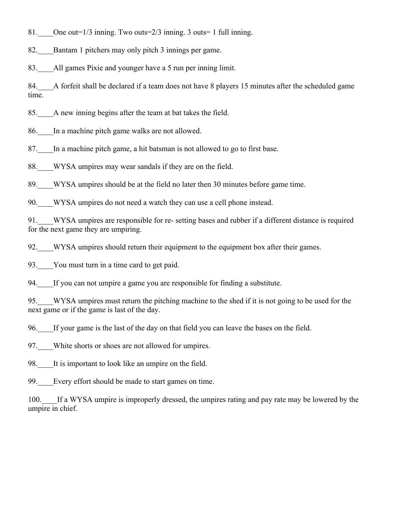81. One out=1/3 inning. Two outs=2/3 inning. 3 outs= 1 full inning.

82. Bantam 1 pitchers may only pitch 3 innings per game.

83. All games Pixie and younger have a 5 run per inning limit.

84. A forfeit shall be declared if a team does not have 8 players 15 minutes after the scheduled game time.

85.\_\_\_\_A new inning begins after the team at bat takes the field.

86.\_\_\_\_In a machine pitch game walks are not allowed.

87.\_\_\_\_In a machine pitch game, a hit batsman is not allowed to go to first base.

88. WYSA umpires may wear sandals if they are on the field.

89. WYSA umpires should be at the field no later then 30 minutes before game time.

90. WYSA umpires do not need a watch they can use a cell phone instead.

91. WYSA umpires are responsible for re- setting bases and rubber if a different distance is required for the next game they are umpiring.

92. WYSA umpires should return their equipment to the equipment box after their games.

93. You must turn in a time card to get paid.

94. If you can not umpire a game you are responsible for finding a substitute.

95.\_\_\_\_WYSA umpires must return the pitching machine to the shed if it is not going to be used for the next game or if the game is last of the day.

96.\_\_\_\_If your game is the last of the day on that field you can leave the bases on the field.

97. White shorts or shoes are not allowed for umpires.

98. It is important to look like an umpire on the field.

99. Every effort should be made to start games on time.

100. If a WYSA umpire is improperly dressed, the umpires rating and pay rate may be lowered by the umpire in chief.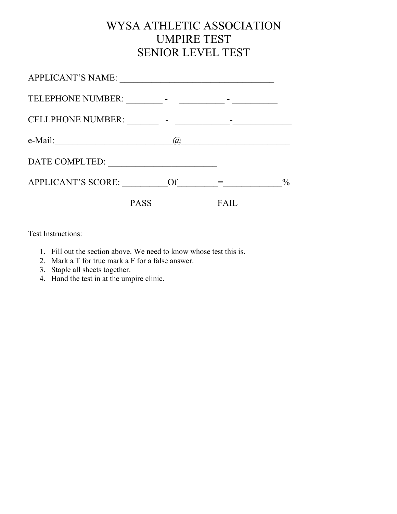# WYSA ATHLETIC ASSOCIATION UMPIRE TEST SENIOR LEVEL TEST

| <b>PASS</b>                                          |                                           |               |
|------------------------------------------------------|-------------------------------------------|---------------|
| APPLICANT'S SCORE:                                   | Of                                        | $\frac{0}{0}$ |
| DATE COMPLTED:                                       |                                           |               |
| e-Mail:<br><u> 1980 - Jan Barbara, manazarta da </u> | (a),                                      |               |
| <b>CELLPHONE NUMBER:</b>                             |                                           |               |
| TELEPHONE NUMBER:                                    | <b>Service Contract Contract Contract</b> |               |
| <b>APPLICANT'S NAME:</b>                             |                                           |               |

Test Instructions:

- 1. Fill out the section above. We need to know whose test this is.
- 2. Mark a T for true mark a F for a false answer.
- 3. Staple all sheets together.
- 4. Hand the test in at the umpire clinic.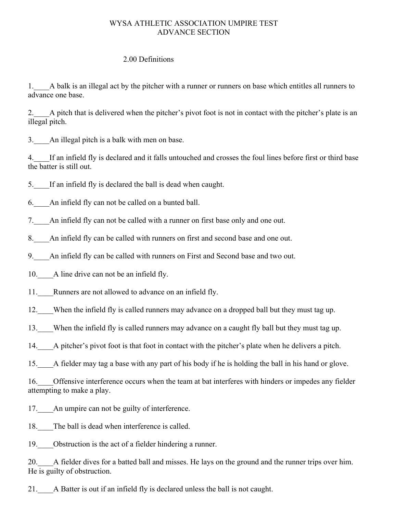#### WYSA ATHLETIC ASSOCIATION UMPIRE TEST ADVANCE SECTION

#### 2.00 Definitions

1.\_\_\_\_A balk is an illegal act by the pitcher with a runner or runners on base which entitles all runners to advance one base.

2. A pitch that is delivered when the pitcher's pivot foot is not in contact with the pitcher's plate is an illegal pitch.

3.\_\_\_\_An illegal pitch is a balk with men on base.

4.\_\_\_\_If an infield fly is declared and it falls untouched and crosses the foul lines before first or third base the batter is still out.

5.\_\_\_\_If an infield fly is declared the ball is dead when caught.

6.\_\_\_\_An infield fly can not be called on a bunted ball.

7.\_\_\_\_An infield fly can not be called with a runner on first base only and one out.

8. An infield fly can be called with runners on first and second base and one out.

9. An infield fly can be called with runners on First and Second base and two out.

10. A line drive can not be an infield fly.

11. Runners are not allowed to advance on an infield fly.

12. When the infield fly is called runners may advance on a dropped ball but they must tag up.

13. When the infield fly is called runners may advance on a caught fly ball but they must tag up.

14.\_\_\_\_A pitcher's pivot foot is that foot in contact with the pitcher's plate when he delivers a pitch.

15.\_\_\_\_A fielder may tag a base with any part of his body if he is holding the ball in his hand or glove.

16. Offensive interference occurs when the team at bat interferes with hinders or impedes any fielder attempting to make a play.

17. An umpire can not be guilty of interference.

18. The ball is dead when interference is called.

19. Obstruction is the act of a fielder hindering a runner.

20. A fielder dives for a batted ball and misses. He lays on the ground and the runner trips over him. He is guilty of obstruction.

21. A Batter is out if an infield fly is declared unless the ball is not caught.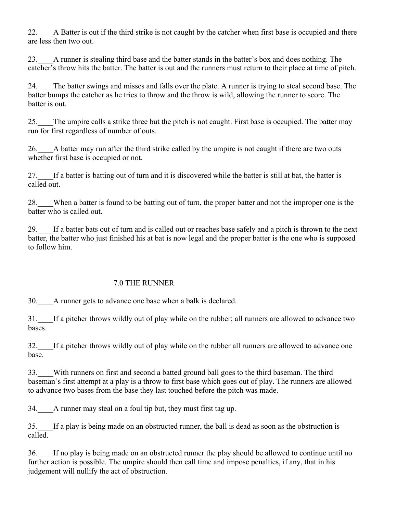22. A Batter is out if the third strike is not caught by the catcher when first base is occupied and there are less then two out.

23.\_\_\_\_A runner is stealing third base and the batter stands in the batter's box and does nothing. The catcher's throw hits the batter. The batter is out and the runners must return to their place at time of pitch.

24. The batter swings and misses and falls over the plate. A runner is trying to steal second base. The batter bumps the catcher as he tries to throw and the throw is wild, allowing the runner to score. The batter is out.

25.\_\_\_\_The umpire calls a strike three but the pitch is not caught. First base is occupied. The batter may run for first regardless of number of outs.

26.\_\_\_\_A batter may run after the third strike called by the umpire is not caught if there are two outs whether first base is occupied or not.

27.\_\_\_\_If a batter is batting out of turn and it is discovered while the batter is still at bat, the batter is called out.

28. When a batter is found to be batting out of turn, the proper batter and not the improper one is the batter who is called out.

29.\_\_\_\_If a batter bats out of turn and is called out or reaches base safely and a pitch is thrown to the next batter, the batter who just finished his at bat is now legal and the proper batter is the one who is supposed to follow him.

#### 7.0 THE RUNNER

30.\_\_\_\_A runner gets to advance one base when a balk is declared.

31.\_\_\_\_If a pitcher throws wildly out of play while on the rubber; all runners are allowed to advance two bases.

32.\_\_\_\_If a pitcher throws wildly out of play while on the rubber all runners are allowed to advance one base.

33.\_\_\_\_With runners on first and second a batted ground ball goes to the third baseman. The third baseman's first attempt at a play is a throw to first base which goes out of play. The runners are allowed to advance two bases from the base they last touched before the pitch was made.

34. A runner may steal on a foul tip but, they must first tag up.

35.\_\_\_\_If a play is being made on an obstructed runner, the ball is dead as soon as the obstruction is called.

36.\_\_\_\_If no play is being made on an obstructed runner the play should be allowed to continue until no further action is possible. The umpire should then call time and impose penalties, if any, that in his judgement will nullify the act of obstruction.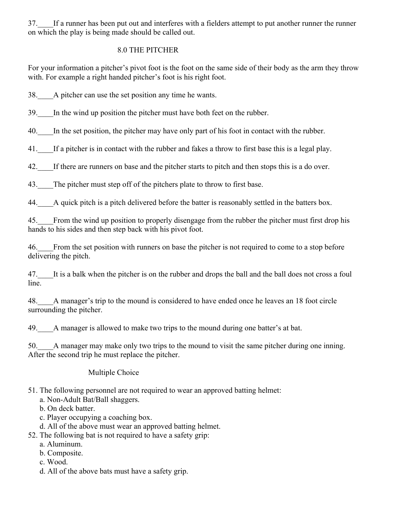37.\_\_\_\_If a runner has been put out and interferes with a fielders attempt to put another runner the runner on which the play is being made should be called out.

#### 8.0 THE PITCHER

For your information a pitcher's pivot foot is the foot on the same side of their body as the arm they throw with. For example a right handed pitcher's foot is his right foot.

38. A pitcher can use the set position any time he wants.

39. In the wind up position the pitcher must have both feet on the rubber.

40. In the set position, the pitcher may have only part of his foot in contact with the rubber.

41.\_\_\_\_If a pitcher is in contact with the rubber and fakes a throw to first base this is a legal play.

42.\_\_\_\_If there are runners on base and the pitcher starts to pitch and then stops this is a do over.

43. The pitcher must step off of the pitchers plate to throw to first base.

44. A quick pitch is a pitch delivered before the batter is reasonably settled in the batters box.

45.\_\_\_\_From the wind up position to properly disengage from the rubber the pitcher must first drop his hands to his sides and then step back with his pivot foot.

46.\_\_\_\_From the set position with runners on base the pitcher is not required to come to a stop before delivering the pitch.

47.\_\_\_\_It is a balk when the pitcher is on the rubber and drops the ball and the ball does not cross a foul line.

48.\_\_\_\_A manager's trip to the mound is considered to have ended once he leaves an 18 foot circle surrounding the pitcher.

49. A manager is allowed to make two trips to the mound during one batter's at bat.

50.\_\_\_\_A manager may make only two trips to the mound to visit the same pitcher during one inning. After the second trip he must replace the pitcher.

## Multiple Choice

- 51. The following personnel are not required to wear an approved batting helmet:
	- a. Non-Adult Bat/Ball shaggers.
	- b. On deck batter.
	- c. Player occupying a coaching box.
	- d. All of the above must wear an approved batting helmet.
- 52. The following bat is not required to have a safety grip:
	- a. Aluminum.
	- b. Composite.
	- c. Wood.
	- d. All of the above bats must have a safety grip.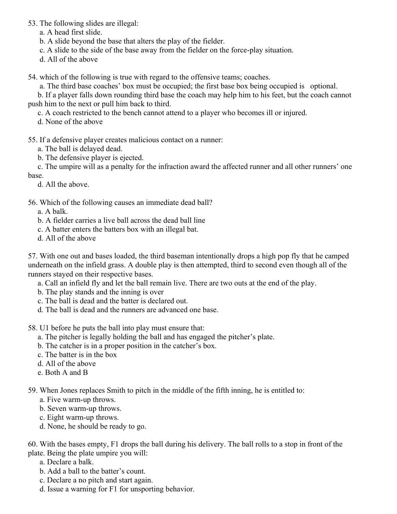53. The following slides are illegal:

a. A head first slide.

b. A slide beyond the base that alters the play of the fielder.

c. A slide to the side of the base away from the fielder on the force-play situation.

d. All of the above

54. which of the following is true with regard to the offensive teams; coaches.

a. The third base coaches' box must be occupied; the first base box being occupied is optional.

 b. If a player falls down rounding third base the coach may help him to his feet, but the coach cannot push him to the next or pull him back to third.

c. A coach restricted to the bench cannot attend to a player who becomes ill or injured.

d. None of the above

### 55. If a defensive player creates malicious contact on a runner:

a. The ball is delayed dead.

b. The defensive player is ejected.

 c. The umpire will as a penalty for the infraction award the affected runner and all other runners' one base.

d. All the above.

### 56. Which of the following causes an immediate dead ball?

a. A balk.

- b. A fielder carries a live ball across the dead ball line
- c. A batter enters the batters box with an illegal bat.
- d. All of the above

57. With one out and bases loaded, the third baseman intentionally drops a high pop fly that he camped underneath on the infield grass. A double play is then attempted, third to second even though all of the runners stayed on their respective bases.

a. Call an infield fly and let the ball remain live. There are two outs at the end of the play.

- b. The play stands and the inning is over
- c. The ball is dead and the batter is declared out.
- d. The ball is dead and the runners are advanced one base.

58. U1 before he puts the ball into play must ensure that:

- a. The pitcher is legally holding the ball and has engaged the pitcher's plate.
- b. The catcher is in a proper position in the catcher's box.
- c. The batter is in the box
- d. All of the above
- e. Both A and B

59. When Jones replaces Smith to pitch in the middle of the fifth inning, he is entitled to:

- a. Five warm-up throws.
- b. Seven warm-up throws.
- c. Eight warm-up throws.
- d. None, he should be ready to go.

60. With the bases empty, F1 drops the ball during his delivery. The ball rolls to a stop in front of the plate. Being the plate umpire you will:

- a. Declare a balk.
- b. Add a ball to the batter's count.
- c. Declare a no pitch and start again.
- d. Issue a warning for F1 for unsporting behavior.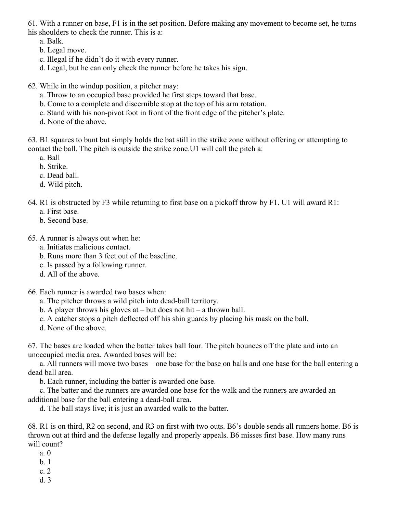61. With a runner on base, F1 is in the set position. Before making any movement to become set, he turns his shoulders to check the runner. This is a:

a. Balk.

- b. Legal move.
- c. Illegal if he didn't do it with every runner.
- d. Legal, but he can only check the runner before he takes his sign.
- 62. While in the windup position, a pitcher may:
	- a. Throw to an occupied base provided he first steps toward that base.
	- b. Come to a complete and discernible stop at the top of his arm rotation.
	- c. Stand with his non-pivot foot in front of the front edge of the pitcher's plate.
	- d. None of the above.

63. B1 squares to bunt but simply holds the bat still in the strike zone without offering or attempting to contact the ball. The pitch is outside the strike zone.U1 will call the pitch a:

- a. Ball
- b. Strike.
- c. Dead ball.
- d. Wild pitch.
- 64. R1 is obstructed by F3 while returning to first base on a pickoff throw by F1. U1 will award R1:
	- a. First base.
	- b. Second base.

65. A runner is always out when he:

- a. Initiates malicious contact.
- b. Runs more than 3 feet out of the baseline.
- c. Is passed by a following runner.
- d. All of the above.

66. Each runner is awarded two bases when:

- a. The pitcher throws a wild pitch into dead-ball territory.
- b. A player throws his gloves at  $-$  but does not hit  $-$  a thrown ball.
- c. A catcher stops a pitch deflected off his shin guards by placing his mask on the ball.
- d. None of the above.

67. The bases are loaded when the batter takes ball four. The pitch bounces off the plate and into an unoccupied media area. Awarded bases will be:

a. All runners will move two bases – one base for the base on balls and one base for the ball entering a dead ball area.

b. Each runner, including the batter is awarded one base.

c. The batter and the runners are awarded one base for the walk and the runners are awarded an additional base for the ball entering a dead-ball area.

d. The ball stays live; it is just an awarded walk to the batter.

68. R1 is on third, R2 on second, and R3 on first with two outs. B6's double sends all runners home. B6 is thrown out at third and the defense legally and properly appeals. B6 misses first base. How many runs will count?

- a. 0
- b. 1
- c. 2
- d. 3